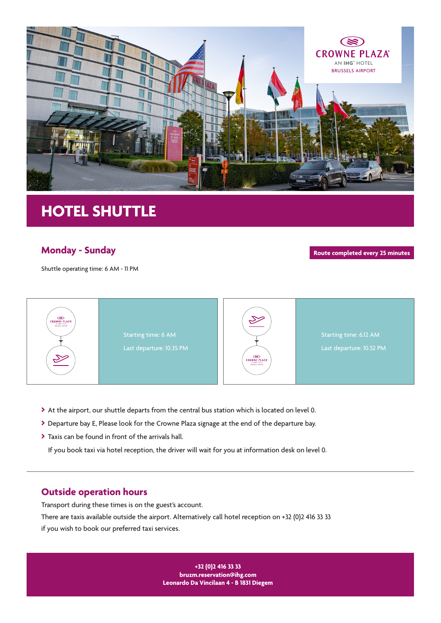

## **HOTEL SHUTTLE**

## **Monday - Sunday**

Shuttle operating time: 6 AM - 11 PM

**Route completed every 25 minutes**



- At the airport, our shuttle departs from the central bus station which is located on level 0.
- Departure bay E, Please look for the Crowne Plaza signage at the end of the departure bay.
- Taxis can be found in front of the arrivals hall.

If you book taxi via hotel reception, the driver will wait for you at information desk on level 0.

## **Outside operation hours**

Transport during these times is on the guest's account.

There are taxis available outside the airport. Alternatively call hotel reception on +32 (0)2 416 33 33 if you wish to book our preferred taxi services.

> **+32 (0)2 416 33 33 bruzm.reservation@ihg.com Leonardo Da Vincilaan 4 - B 1831 Diegem**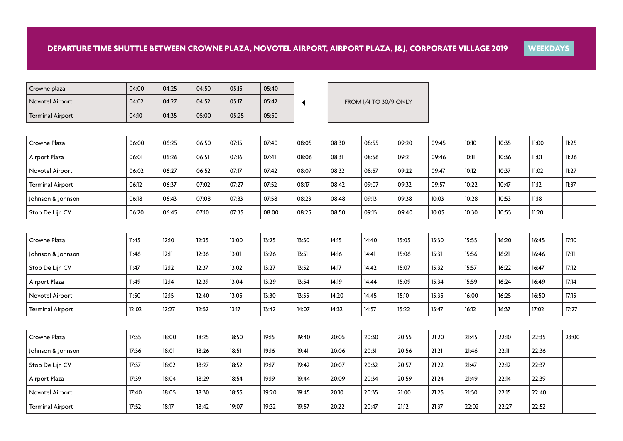| Crowne plaza            | 04:00 | 04:25 | 04:50 | 05:15 | 05:40 |                              |
|-------------------------|-------|-------|-------|-------|-------|------------------------------|
| Novotel Airport         | 04:02 | 04:27 | 04:52 | 05:17 | 05:42 | <b>FROM 1/4 TO 30/9 ONLY</b> |
| <b>Terminal Airport</b> | 04:10 | 04:35 | 05:00 | 05:25 | 05:50 |                              |

| Crowne Plaza            | 06:00 | 06:25 | 06:50 | 07:15 | 07:40 | 08:05 | 08:30 | 08:55 | 09:20 | 09:45 | 10:10 | 10:35 | 11:00 | 11:25 |
|-------------------------|-------|-------|-------|-------|-------|-------|-------|-------|-------|-------|-------|-------|-------|-------|
| Airport Plaza           | 06:01 | 06:26 | 06:51 | 07:16 | 07:41 | 08:06 | 08:31 | 08:56 | 09:21 | 09:46 | 10:11 | 10:36 | 11:01 | 11:26 |
| Novotel Airport         | 06:02 | 06:27 | 06:52 | 07:17 | 07:42 | 08:07 | 08:32 | 08:57 | 09:22 | 09:47 | 10:12 | 10:37 | 11:02 | 11:27 |
| <b>Terminal Airport</b> | 06:12 | 06:37 | 07:02 | 07:27 | 07:52 | 08:17 | 08:42 | 09:07 | 09:32 | 09:57 | 10:22 | 10:47 | 11:12 | 11:37 |
| Johnson & Johnson       | 06:18 | 06:43 | 07:08 | 07:33 | 07:58 | 08:23 | 08:48 | 09:13 | 09:38 | 10:03 | 10:28 | 10:53 | 11:18 |       |
| Stop De Lijn CV         | 06:20 | 06:45 | 07:10 | 07:35 | 08:00 | 08:25 | 08:50 | 09:15 | 09:40 | 10:05 | 10:30 | 10:55 | 11:20 |       |

**WEEKDAYS**

| Crowne Plaza            | 11:45 | 12:10 | 12:35 | 13:00 | 13:25 | 13:50 | 14:15 | 14:40 | 15:05 | 15:30 | 15:55 | 16:20 | 16:45 | 17:10 |
|-------------------------|-------|-------|-------|-------|-------|-------|-------|-------|-------|-------|-------|-------|-------|-------|
| Johnson & Johnson       | 11:46 | 12:11 | 12:36 | 13:01 | 13:26 | 13:51 | 14:16 | 14:41 | 15:06 | 15:31 | 15:56 | 16:21 | 16:46 | 17:11 |
| Stop De Lijn CV         | 11:47 | 12:12 | 12:37 | 13:02 | 13:27 | 13:52 | 14:17 | 14:42 | 15:07 | 15:32 | 15:57 | 16:22 | 16:47 | 17:12 |
| Airport Plaza           | 11:49 | 12:14 | 12:39 | 13:04 | 13:29 | 13:54 | 14:19 | 14:44 | 15:09 | 15:34 | 15:59 | 16:24 | 16:49 | 17:14 |
| Novotel Airport         | 11:50 | 12:15 | 12:40 | 13:05 | 13:30 | 13:55 | 14:20 | 14:45 | 15:10 | 15:35 | 16:00 | 16:25 | 16:50 | 17:15 |
| <b>Terminal Airport</b> | 12:02 | 12:27 | 12:52 | 13:17 | 13:42 | 14:07 | 14:32 | 14:57 | 15:22 | 15:47 | 16:12 | 16:37 | 17:02 | 17:27 |

| Crowne Plaza      | 17:35 | 18:00 | 18:25 | 18:50 | 19:15 | 19:40 | 20:05 | 20:30 | 20:55 | 21:20 | 21:45 | 22:10 | 22:35 | 23:00 |
|-------------------|-------|-------|-------|-------|-------|-------|-------|-------|-------|-------|-------|-------|-------|-------|
| Johnson & Johnson | 17:36 | 18:01 | 18:26 | 18:51 | 19:16 | 19:41 | 20:06 | 20:31 | 20:56 | 21:21 | 21:46 | 22:11 | 22:36 |       |
| Stop De Lijn CV   | 17:37 | 18:02 | 18:27 | 18:52 | 19:17 | 19:42 | 20:07 | 20:32 | 20:57 | 21:22 | 21:47 | 22:12 | 22:37 |       |
| Airport Plaza     | 17:39 | 18:04 | 18:29 | 18:54 | 19:19 | 19:44 | 20:09 | 20:34 | 20:59 | 21:24 | 21:49 | 22:14 | 22:39 |       |
| Novotel Airport   | 17:40 | 18:05 | 18:30 | 18:55 | 19:20 | 19:45 | 20:10 | 20:35 | 21:00 | 21:25 | 21:50 | 22:15 | 22:40 |       |
| Terminal Airport  | 17:52 | 18:17 | 18:42 | 19:07 | 19:32 | 19:57 | 20:22 | 20:47 | 21:12 | 21:37 | 22:02 | 22:27 | 22:52 |       |